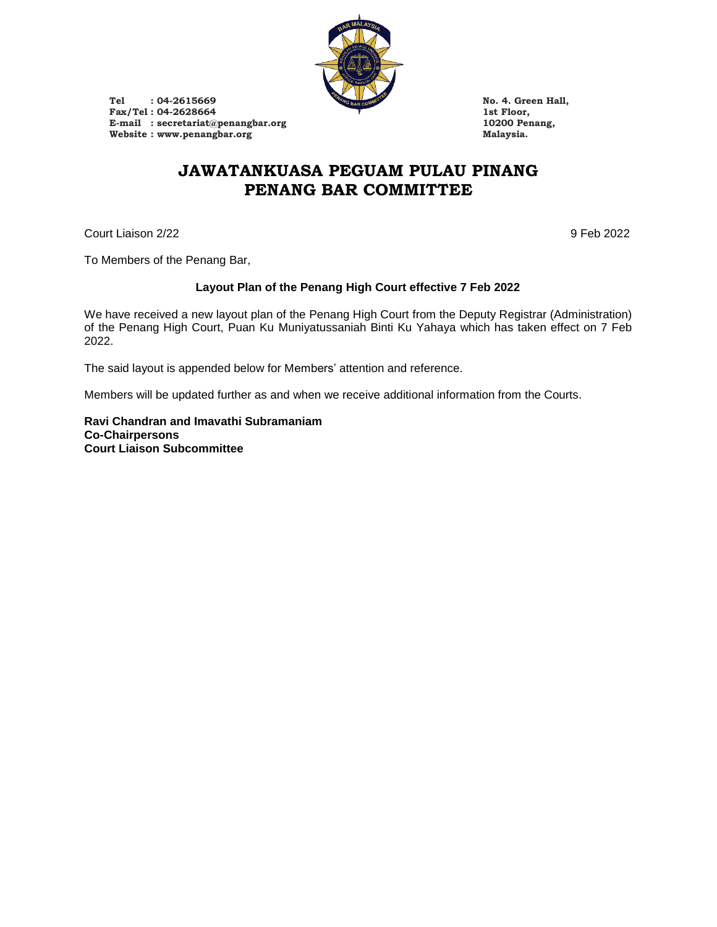

Tel : 04-2615669 **No. 4. Green Hall,**<br>
Fax/Tel : 04-2628664 **1st Floor**, Fax/Tel : 04-2628664 1st Floor,<br>
E-mail : secretariat@penangbar.org 10200 Penang, E-mail **: secretariat@penangbar.org** 10200 Per 10200 Per 10200 Per 10200 Per 10200 Per 10200 Per 10200 Per 10200 Per 10200 Per 10200 Per 10200 Per 10200 Per 10200 Per 10200 Per 10200 Per 10200 Per 10200 Per 10200 Per 10200  $Website: [www.penangbar.org](http://www.penangbar.org)$ 

## **JAWATANKUASA PEGUAM PULAU PINANG PENANG BAR COMMITTEE**

Court Liaison 2/22 9 Feb 2022

To Members of the Penang Bar,

## **Layout Plan of the Penang High Court effective 7 Feb 2022**

We have received a new layout plan of the Penang High Court from the Deputy Registrar (Administration) of the Penang High Court, Puan Ku Muniyatussaniah Binti Ku Yahaya which has taken effect on 7 Feb 2022.

The said layout is appended below for Members' attention and reference.

Members will be updated further as and when we receive additional information from the Courts.

**Ravi Chandran and Imavathi Subramaniam Co-Chairpersons Court Liaison Subcommittee**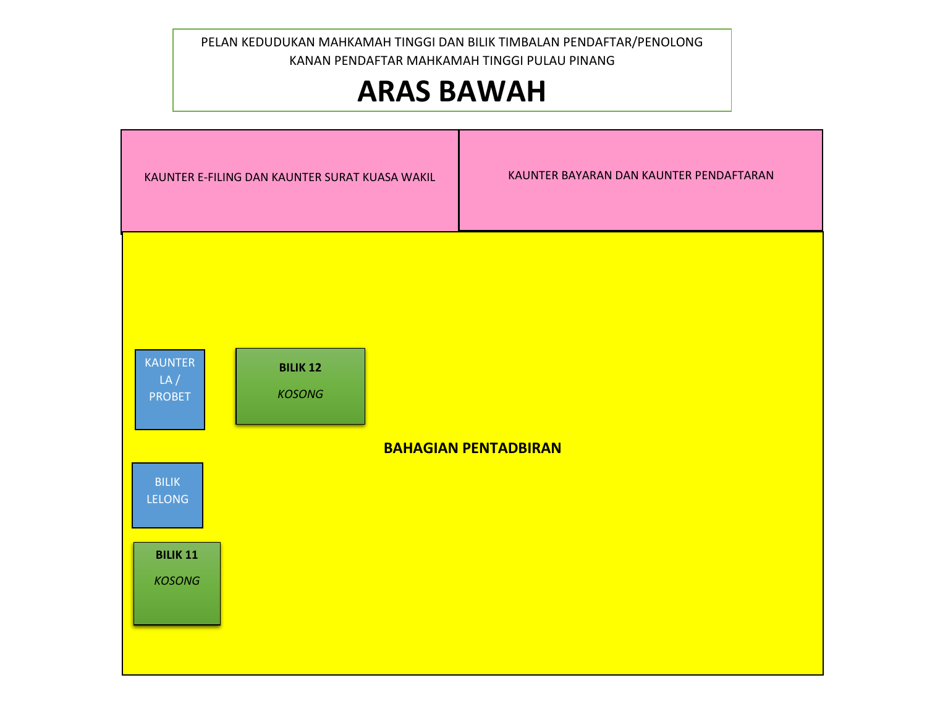KANAN PENDAFTAR MAHKAMAH TINGGI PULAU PINANG<br> **ARAS RAMAH** PELAN KEDUDUKAN MAHKAMAH TINGGI DAN BILIK TIMBALAN PENDAFTAR/PENOLONG

## **ARAS BAWAH**

| KAUNTER E-FILING DAN KAUNTER SURAT KUASA WAKIL |                                  |  | KAUNTER BAYARAN DAN KAUNTER PENDAFTARAN |
|------------------------------------------------|----------------------------------|--|-----------------------------------------|
| <b>KAUNTER</b><br>LA/<br><b>PROBET</b>         | <b>BILIK 12</b><br><b>KOSONG</b> |  |                                         |
| <b>BILIK</b><br>LELONG                         |                                  |  | <b>BAHAGIAN PENTADBIRAN</b>             |
| <b>BILIK 11</b><br><b>KOSONG</b>               |                                  |  |                                         |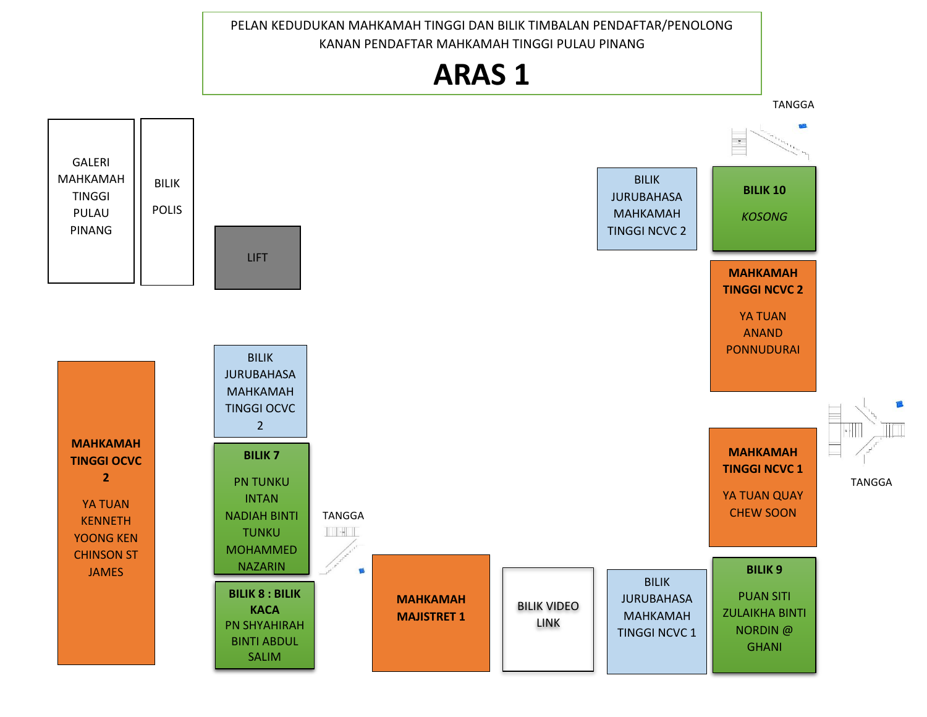PELAN KEDUDUKAN MAHKAMAH TINGGI DAN BILIK TIMBALAN PENDAFTAR/PENOLONG KANAN PENDAFTAR MAHKAMAH TINGGI PULAU PINANG

## **ARAS 1 ARAS 1**